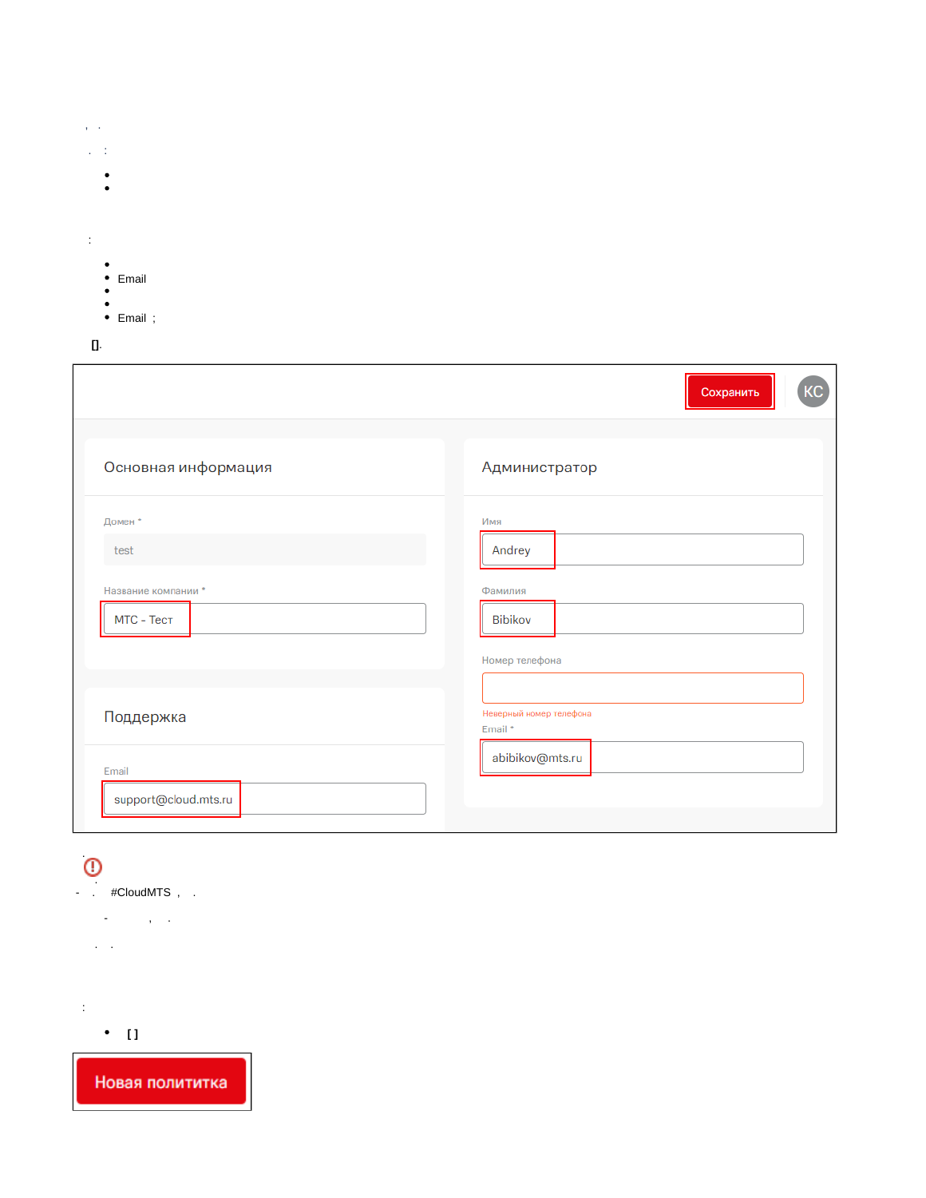| $\sim$ $\sim$  |  |  |
|----------------|--|--|
| 20 D.C         |  |  |
| $\bullet$<br>٠ |  |  |
|                |  |  |

#### $\mathcal{V}^{(1)}$  $\bullet$

- $\bullet$  Email
- $\bullet$
- $\bullet$  Email ;

 $\mathbf{0}.$ 

|                                    | <b>KC</b><br>Сохранить                               |
|------------------------------------|------------------------------------------------------|
| Основная информация                | Администратор                                        |
| Домен*<br>test                     | Имя<br>Andrey                                        |
| Название компании*<br>$MTC - TecT$ | Фамилия<br>Bibikov                                   |
| Поддержка                          | Номер телефона<br>Неверный номер телефона<br>Email * |
| Email<br>support@cloud.mts.ru      | abibikov@mts.ru                                      |

- $\bigoplus$ <br>#CloudMTS, l,
- $\sim$  $\langle \cdot, \cdot \rangle$  ,  $\langle \cdot, \cdot \rangle$  ,  $\langle \cdot, \cdot \rangle$
- $\mathcal{L}^{\pm}$  .
- 
- $\bar{z}$
- $^{\bullet}$  –II

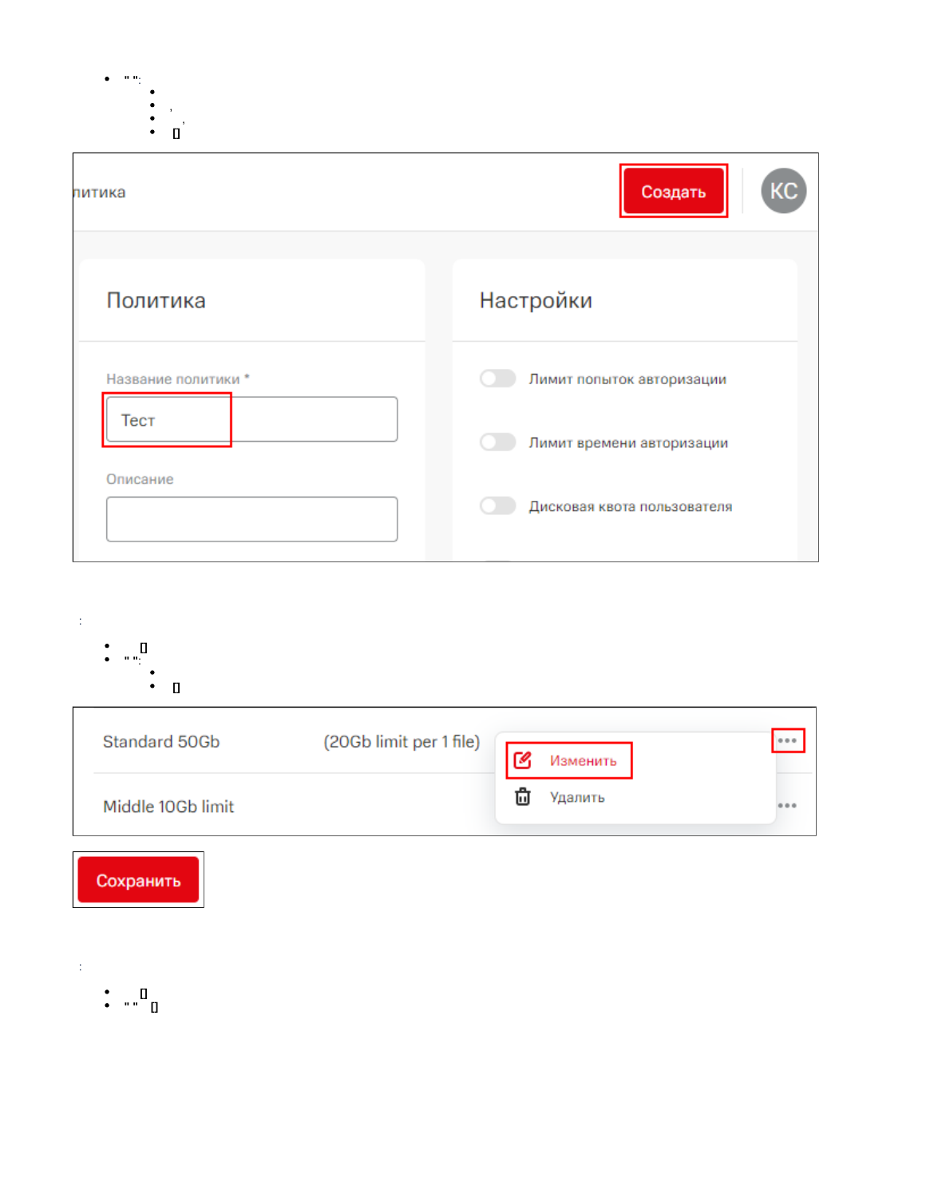

| питика                     | КC<br>Создать                                            |
|----------------------------|----------------------------------------------------------|
| Политика                   | Настройки                                                |
| Название политики*<br>Тест | Лимит попыток авторизации                                |
| Описание                   | Лимит времени авторизации<br>Дисковая квота пользователя |

| ı<br>l |   |            |   |
|--------|---|------------|---|
|        | ٠ | 0          |   |
|        | ٠ | н н.<br>×, |   |
|        |   | ٠          |   |
|        |   | ٠          | 0 |

| Standard 50Gb     | (20Gb limit per 1 file) |   | Изменить |  |
|-------------------|-------------------------|---|----------|--|
| Middle 10Gb limit |                         | Ы | Удалить  |  |

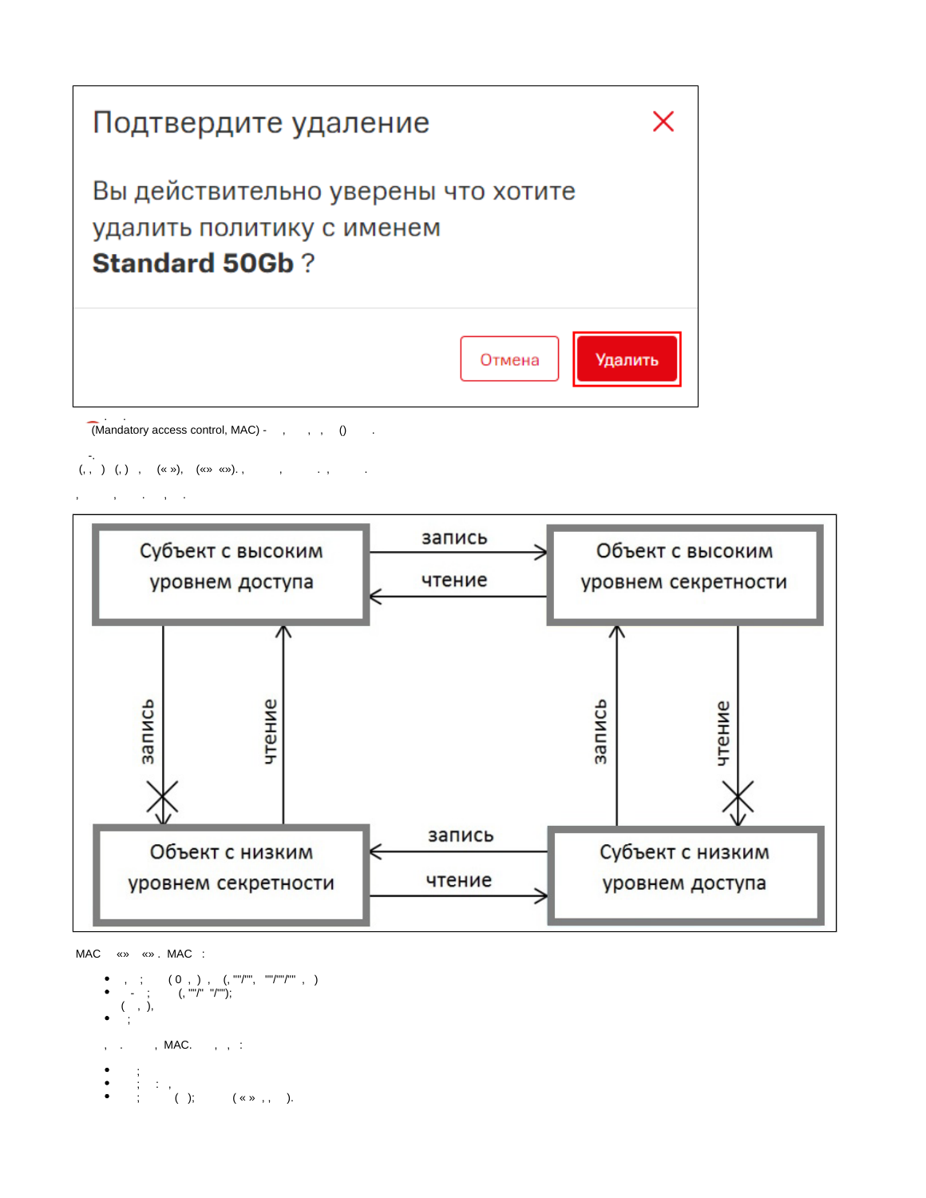

(Mandatory access control, MAC) - , , , ()

 $(0, 0, 0)$  (a),  $(0, 0, 0)$  (component  $(0, 0, 0)$  (component  $(0, 0, 0)$  and  $(0, 0, 0)$  and  $(0, 0, 0)$  and  $(0, 0, 0)$  and  $(0, 0, 0)$  and  $(0, 0, 0)$  and  $(0, 0, 0)$  and  $(0, 0, 0)$  and  $(0, 0, 0)$  and  $(0, 0, 0)$  an

 $\cdots$ , .



MAC «» «» MAC :

- 
- $\begin{array}{c} \begin{array}{c} \cdot \\ \cdot \\ \cdot \end{array} \\ \begin{array}{c} \cdot \\ \cdot \end{array} \end{array}$
- 
- , MAC , , :  $\sqrt{2}$
- 
- $\ddot{\bullet}$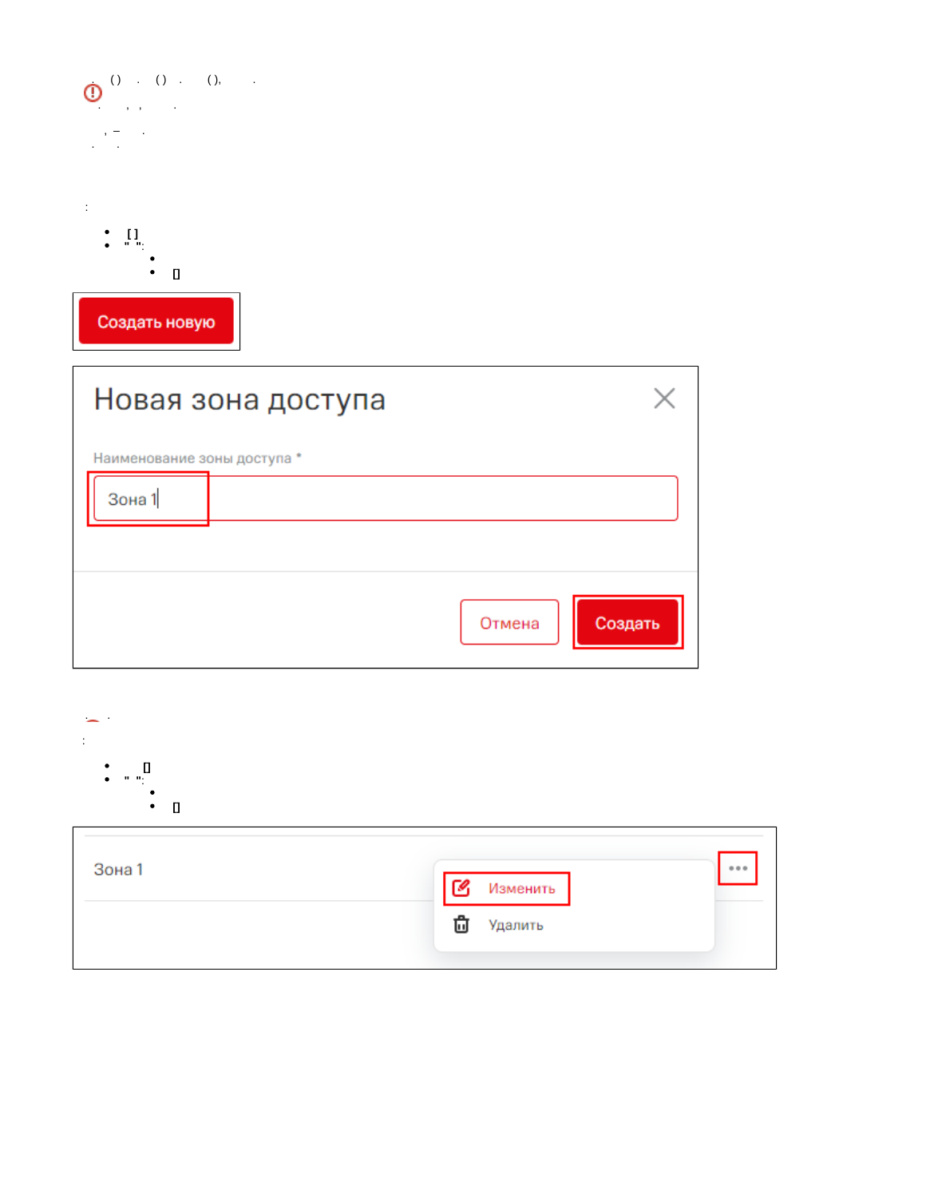



Создать новую

| Новая зона доступа                    |                   |
|---------------------------------------|-------------------|
| Наименование зоны доступа *<br>Зона 1 |                   |
|                                       | Отмена<br>Создать |

| $\sim$<br>$\sim$<br>٠<br>$\sim$<br>O<br>٠<br>$\bullet$<br>$\mathbf{u}=\mathbf{u}$ .<br>$\cdot$ 0 |                |       |
|--------------------------------------------------------------------------------------------------|----------------|-------|
| Зона 1                                                                                           | 70<br>Изменить | 0.0.0 |
|                                                                                                  | ₲<br>Удалить   |       |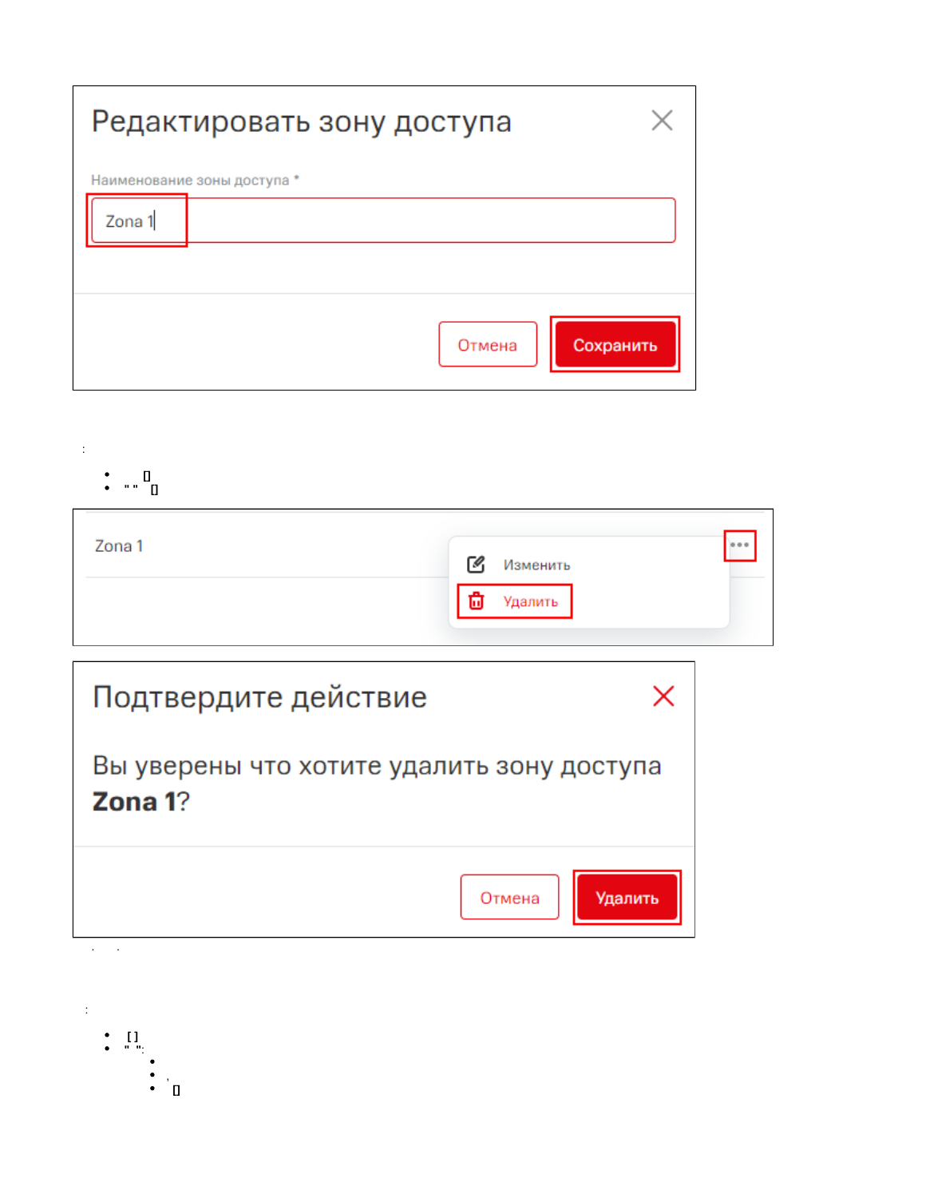| Редактировать зону доступа            |  |
|---------------------------------------|--|
| Наименование зоны доступа *<br>Zona 1 |  |
| Отмена<br>Сохранить                   |  |

# $\begin{array}{cc} \bullet\ & \bullet\ & \bullet\ & \bullet\ & \bullet\ \end{array}$

 $\boldsymbol{z}$ 

| Zona 1 | M<br>Изменить |
|--------|---------------|
|        | Удалить       |



 $\mathcal{L}$  $\mathcal{L}_{\text{max}}$ 

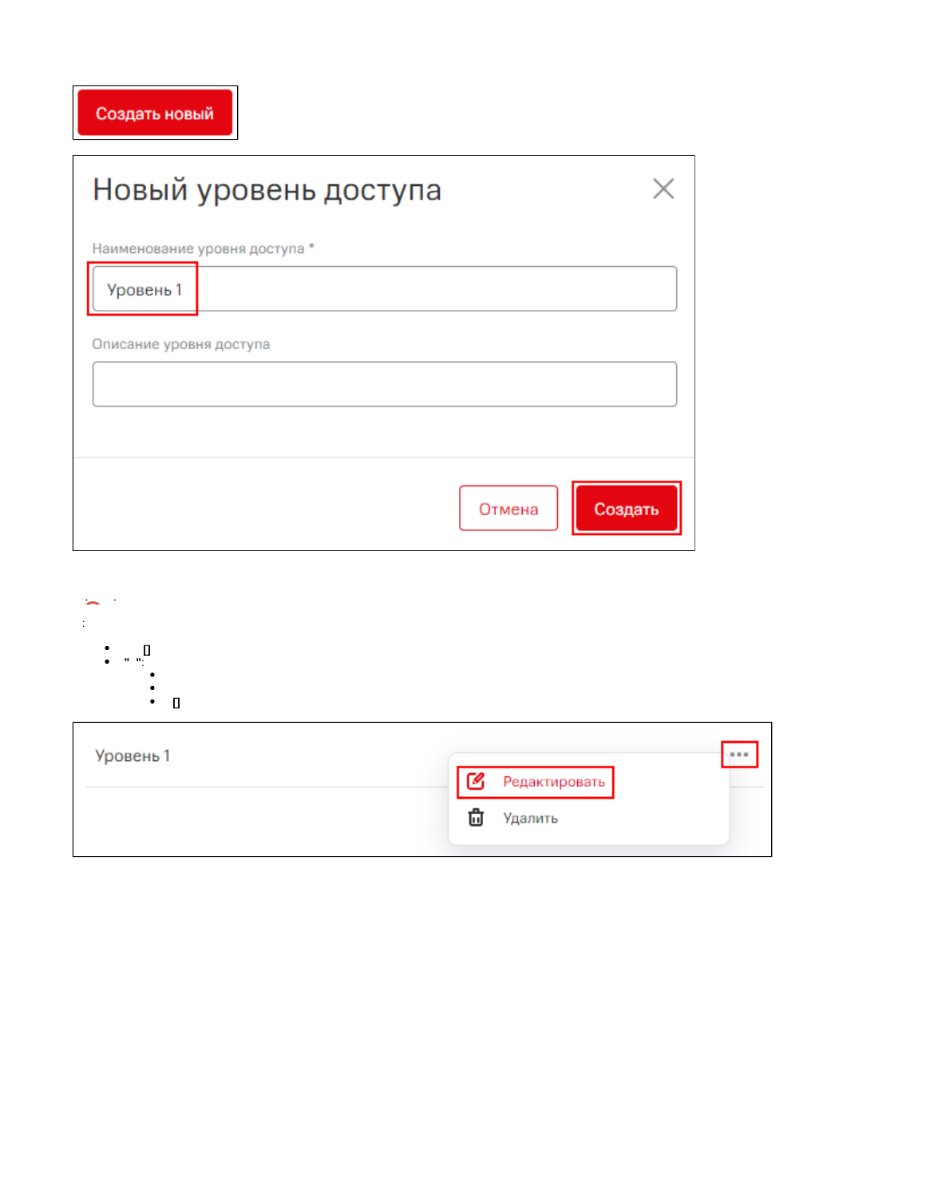Создать новый

| Новый уровень доступа                      |                   |
|--------------------------------------------|-------------------|
| Наименование уровня доступа *<br>Уровень 1 |                   |
| Описание уровня доступа                    |                   |
|                                            | Отмена<br>Создать |

| Уровень 1<br>0.001<br>Редактировать<br>И<br>₲<br>Удалить | $\sim$<br>÷<br>O<br>٠<br>$\mathbf{u}=\mathbf{u}$ .<br>$\bullet$<br>$\begin{array}{c} \square \end{array}$<br>$\bullet$ . |  |
|----------------------------------------------------------|--------------------------------------------------------------------------------------------------------------------------|--|
|                                                          |                                                                                                                          |  |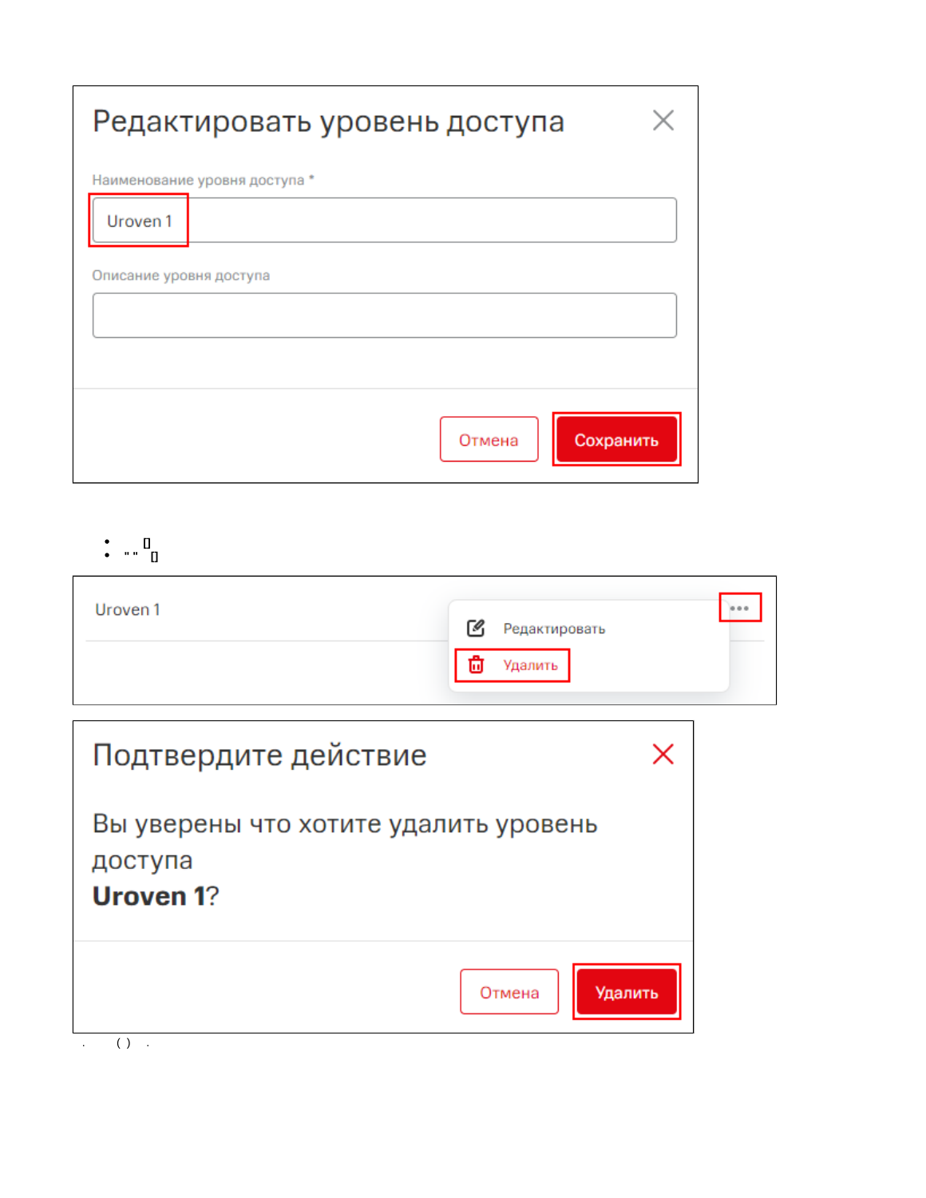| Редактировать уровень доступа             |                     |  |
|-------------------------------------------|---------------------|--|
| Наименование уровня доступа *<br>Uroven 1 |                     |  |
| Описание уровня доступа                   |                     |  |
|                                           |                     |  |
|                                           | Отмена<br>Сохранить |  |

 $\begin{array}{cc} \bullet & \circ & \circ \\ \bullet & \circ & \circ \end{array} \begin{array}{c} \bullet \\ \bullet \end{array}$ 

| Uroven <sub>1</sub> | 0.0.0<br>M<br>Редактировать |
|---------------------|-----------------------------|
|                     | л.<br>Удалить<br>ы          |

| Подтвердите действие                                          |  |  |  |  |  |
|---------------------------------------------------------------|--|--|--|--|--|
| Вы уверены что хотите удалить уровень<br>доступа<br>Uroven 1? |  |  |  |  |  |
| Отмена<br>Удалить                                             |  |  |  |  |  |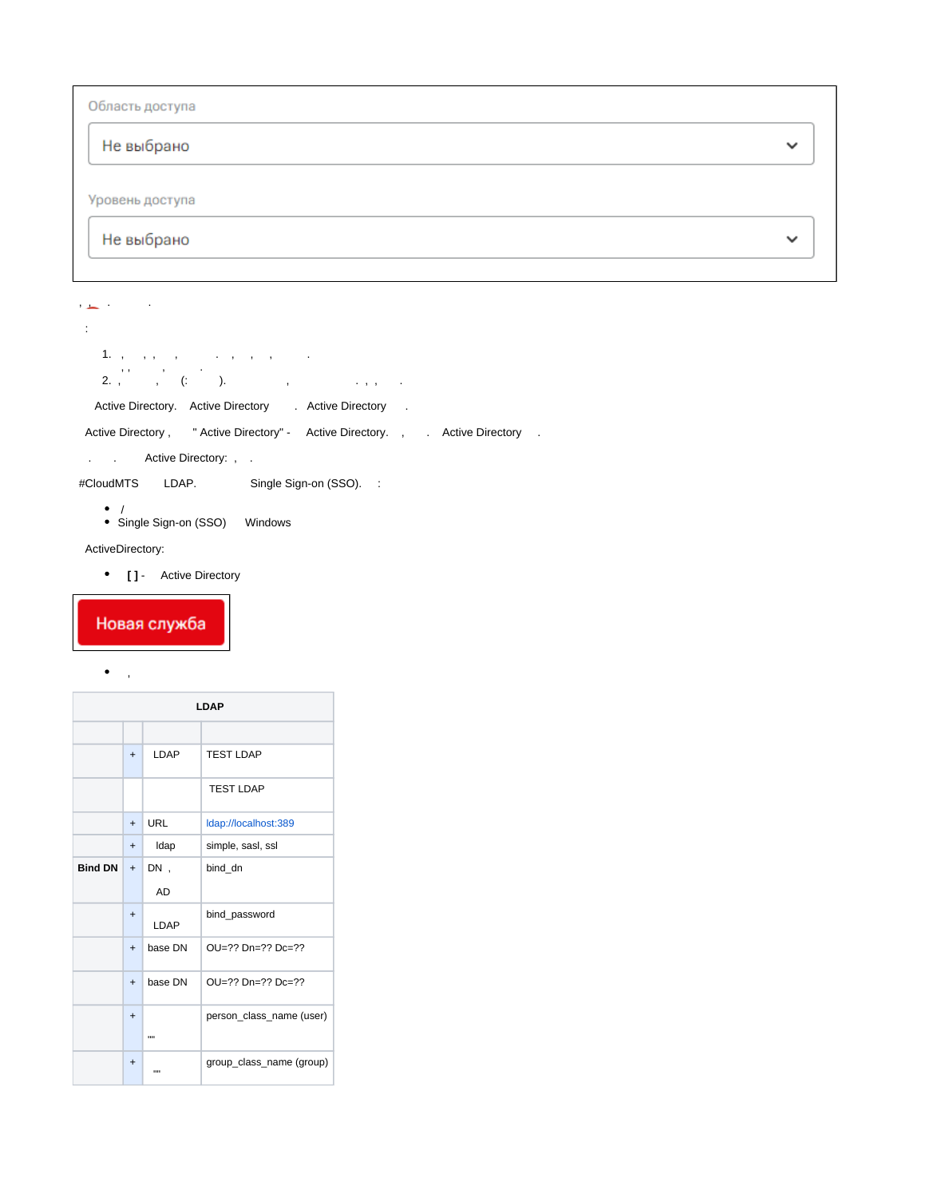Область доступа

Не выбрано

 $\checkmark$ 

 $\checkmark$ 

#### Уровень доступа

Не выбрано

, , . .

:

```
1. 
2. 
  , , , , . , , , .
  , , , .
 , , (: ). , . , , .
```
Active Directory. Active Directory . Active Directory .

Active Directory , " Active Directory" - Active Directory. , . . Active Directory .

. . Active Directory: , .

#CloudMTS LDAP. Single Sign-on (SSO). :

- /
- Single Sign-on (SSO) Windows

ActiveDirectory:

• [] - Active Directory

Новая служба

#### $\bullet$ ,

| <b>LDAP</b>    |           |           |                          |  |  |  |  |  |
|----------------|-----------|-----------|--------------------------|--|--|--|--|--|
|                |           |           |                          |  |  |  |  |  |
|                | $+$       | LDAP      | <b>TEST LDAP</b>         |  |  |  |  |  |
|                |           |           | <b>TEST LDAP</b>         |  |  |  |  |  |
|                | $\ddot{}$ | URL       | Idap://localhost:389     |  |  |  |  |  |
|                | $\ddot{}$ | Idap      | simple, sasl, ssl        |  |  |  |  |  |
| <b>Bind DN</b> | $+$       | DN.       | bind dn                  |  |  |  |  |  |
|                |           | <b>AD</b> |                          |  |  |  |  |  |
|                | $\ddot{}$ | LDAP      | bind_password            |  |  |  |  |  |
|                | $+$       | base DN   | $OU=??$ $Dn=??$ $Dc=??$  |  |  |  |  |  |
|                | $+$       | base DN   | $OU=??$ $Dn=??$ $Dc=??$  |  |  |  |  |  |
|                | $+$       |           | person_class_name (user) |  |  |  |  |  |
|                | $\ddot{}$ |           | group_class_name (group) |  |  |  |  |  |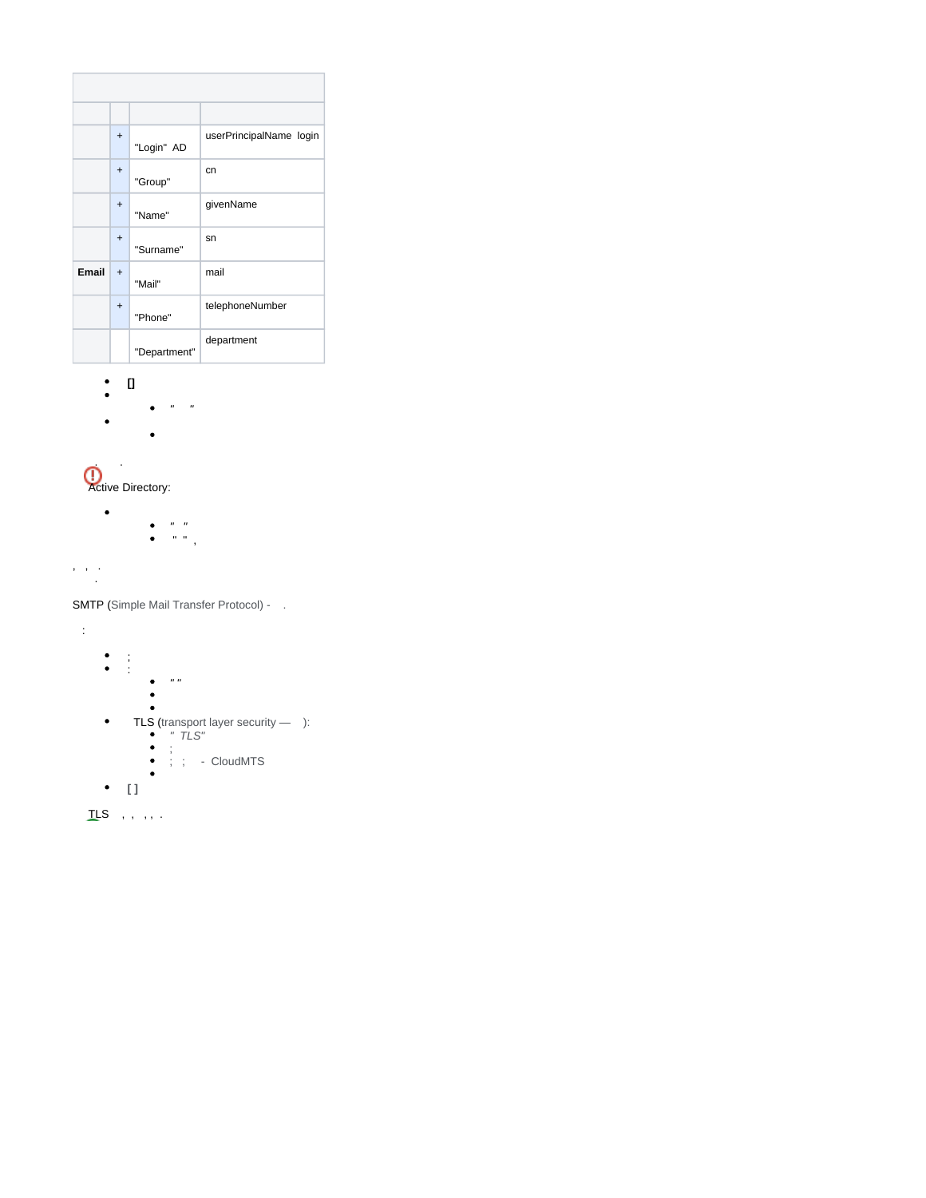|       | $\ddot{}$ | "Login" AD   | userPrincipalName login |
|-------|-----------|--------------|-------------------------|
|       | $\ddot{}$ | "Group"      | cn                      |
|       | $\ddot{}$ | "Name"       | givenName               |
|       | $\ddot{}$ | "Surname"    | sn                      |
| Email | $\ddot{}$ | "Mail"       | mail                    |
|       | $\ddot{}$ | "Phone"      | telephoneNumber         |
|       |           | "Department" | department              |

 **[]**  $\bullet$ 

- " "
- 



" " ,

, , . .

SMTP (Simple Mail Transfer Protocol) - .

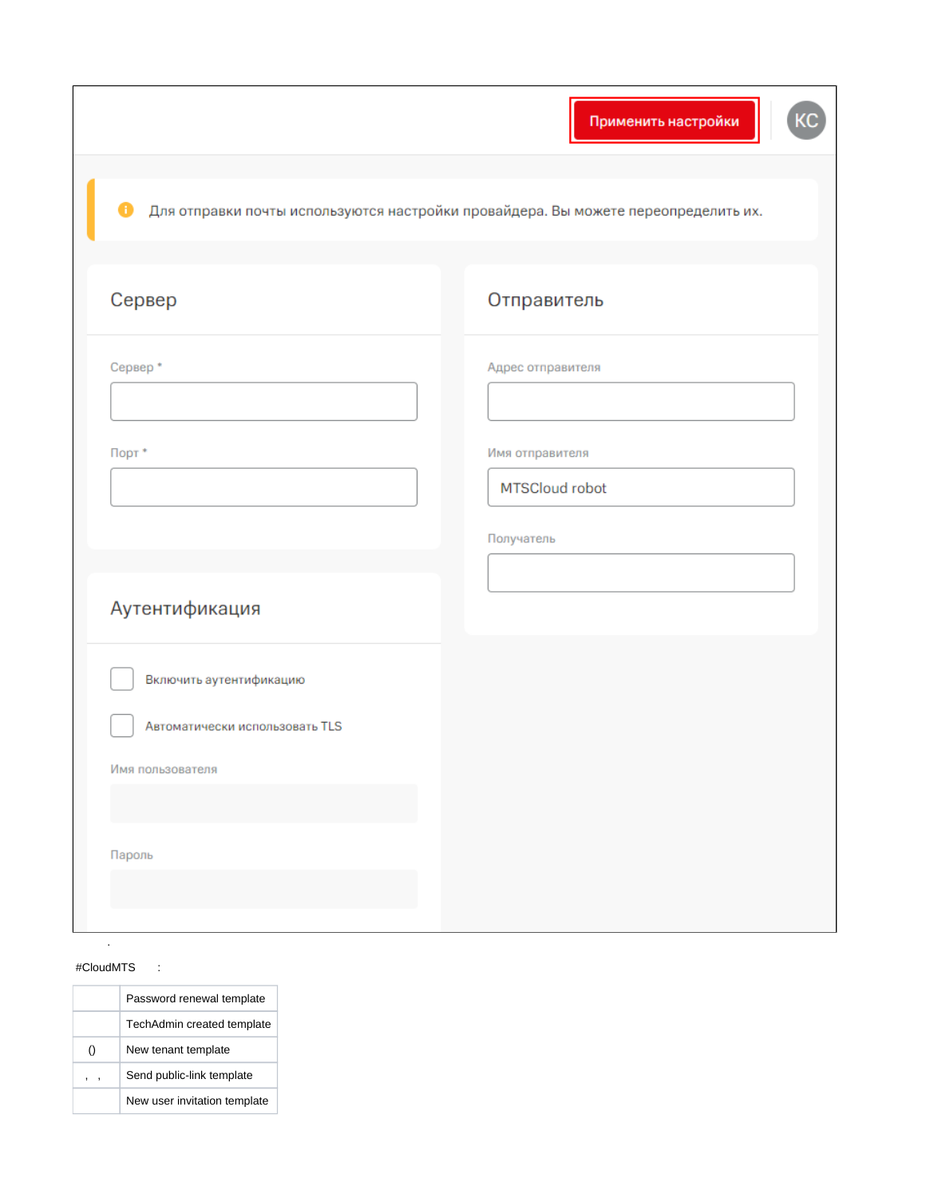| Применить настройк |  |
|--------------------|--|

|                                                           | Применить настройки                                                                |
|-----------------------------------------------------------|------------------------------------------------------------------------------------|
| 0                                                         | Для отправки почты используются настройки провайдера. Вы можете переопределить их. |
| Сервер                                                    | Отправитель                                                                        |
| Сервер*                                                   | Адрес отправителя                                                                  |
| Порт*                                                     | Имя отправителя<br>MTSCloud robot                                                  |
|                                                           | Получатель                                                                         |
| Аутентификация                                            |                                                                                    |
| Включить аутентификацию<br>Автоматически использовать TLS |                                                                                    |
| Имя пользователя                                          |                                                                                    |
| Пароль                                                    |                                                                                    |

#### . #CloudMTS :

|                  | Password renewal template    |
|------------------|------------------------------|
|                  | TechAdmin created template   |
| $\left( \right)$ | New tenant template          |
|                  | Send public-link template    |
|                  | New user invitation template |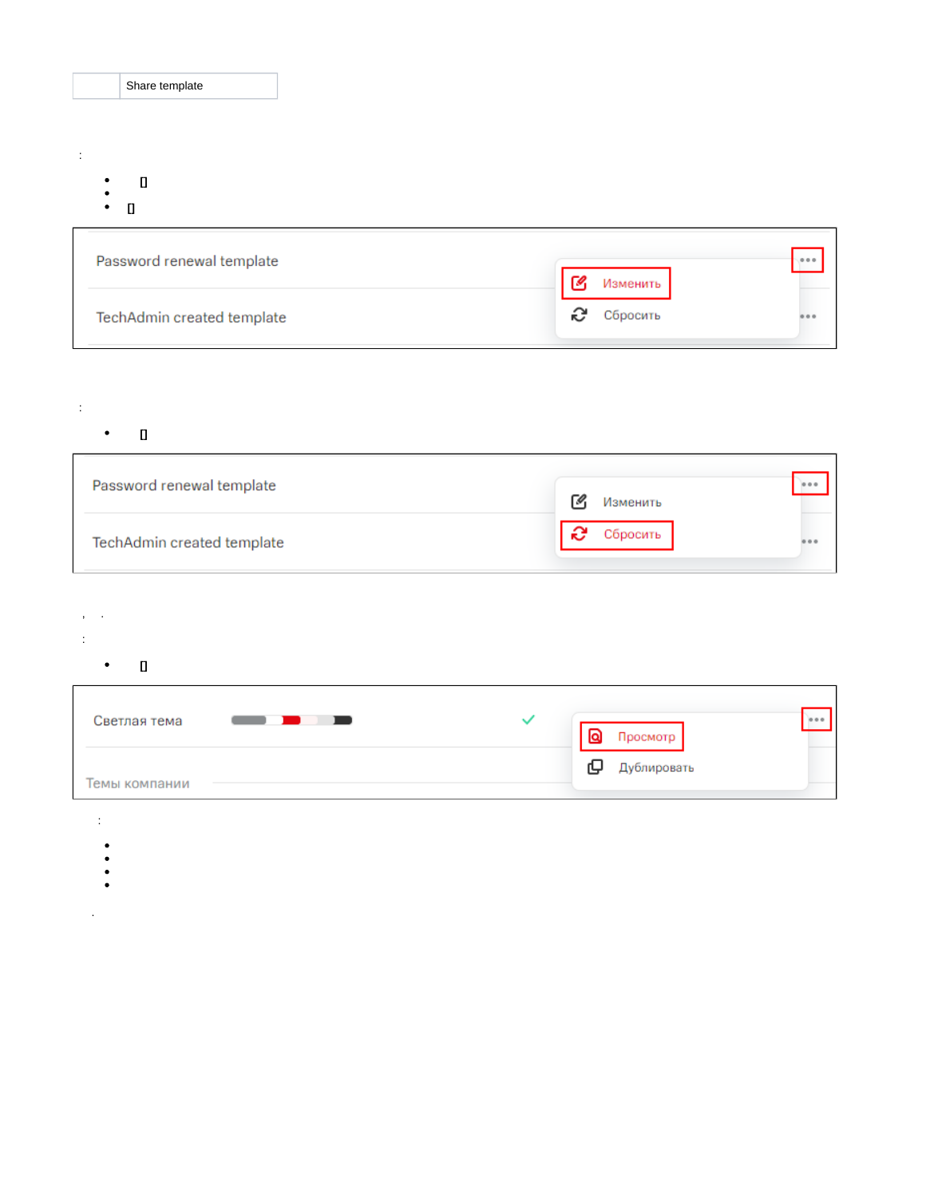# $\pm$

- $\boldsymbol{\Pi}$  $\bullet$  $\bullet$
- $\Box$  $\bullet$

| Password renewal template  |          | 0.0.0 |
|----------------------------|----------|-------|
|                            | Изменить |       |
| TechAdmin created template | Сбросить |       |

#### $\ddot{\cdot}$

 $\rm I\hspace{-.1em}I$  $\bullet$ 

| Password renewal template  | مم<br>Изменить     | 0.0.0 |
|----------------------------|--------------------|-------|
| TechAdmin created template | Сбросить<br>$\sim$ |       |

#### $\ddot{\phantom{a}}$

- ŀ.
	- $\mathbf{0}$  $\bullet$

| Светлая тема  | Просмотр<br>lal  | in a |
|---------------|------------------|------|
| Темы компании | Дублировать<br>Ч |      |

- $\pm$
- 
- $\ddot{\bullet}$   $\ddot{\bullet}$   $\ddot{\bullet}$
- 
- 
- $\ddot{\phantom{0}}$
- 
- 
- - -
- -
- - -
- -
- -
- -
- 
- -
- 
- 
- 
- 
- 
- 
- 
- 
- 
-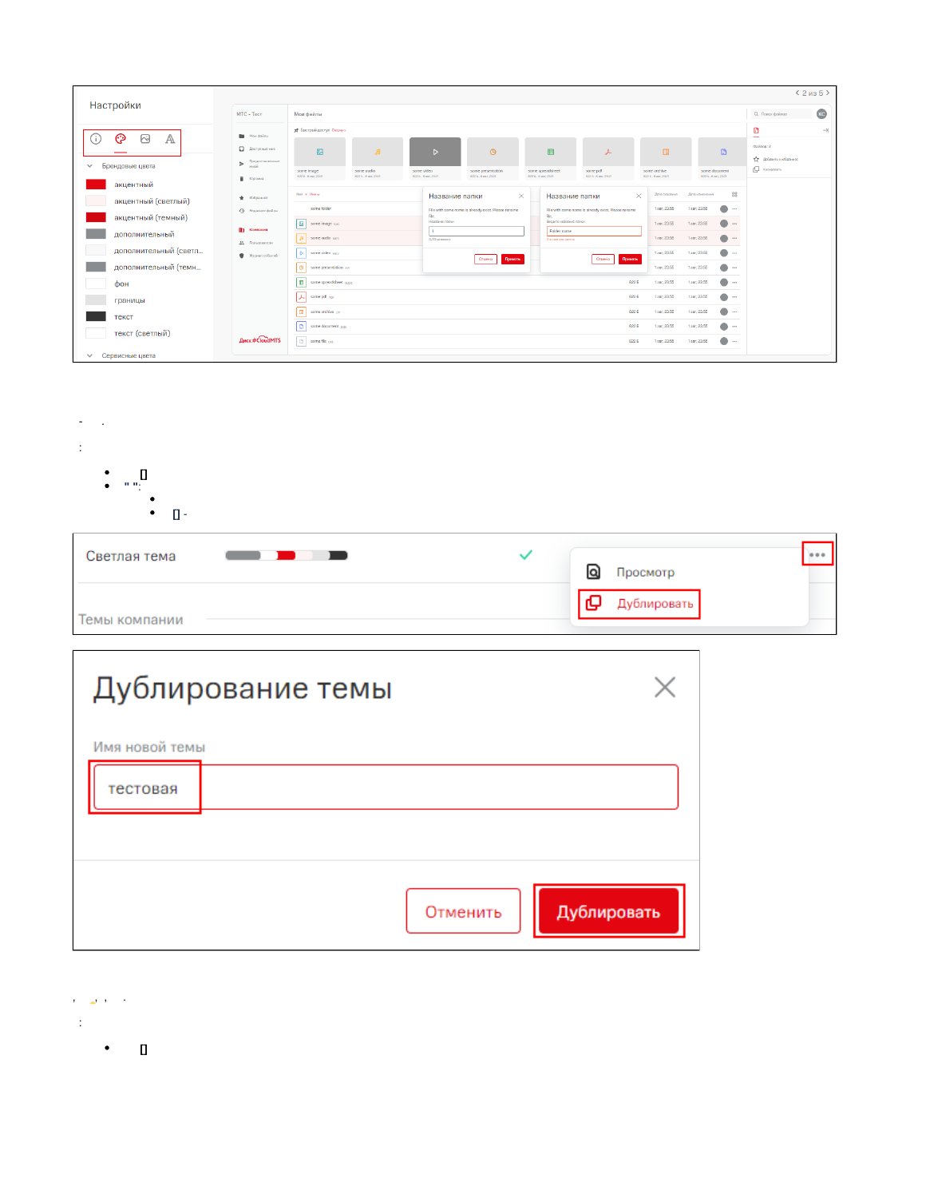|                                 |                                                           |                                                        |                                   |                                                |                                                     |                                          |                                               |                                                     |                                      |                              |                                 |                                     | $< 2$ из 5 $>$ |
|---------------------------------|-----------------------------------------------------------|--------------------------------------------------------|-----------------------------------|------------------------------------------------|-----------------------------------------------------|------------------------------------------|-----------------------------------------------|-----------------------------------------------------|--------------------------------------|------------------------------|---------------------------------|-------------------------------------|----------------|
| Настройки                       | MTC - Tect                                                | Мои файлы                                              |                                   |                                                |                                                     |                                          |                                               |                                                     |                                      |                              |                                 | Q Novos файлов                      | KC             |
| ా<br>집<br>Α<br>(i)              | Mon deline                                                | <b>у?</b> Быстрый доступ Скорнуль                      |                                   |                                                |                                                     |                                          |                                               |                                                     |                                      |                              |                                 | Đ                                   | $\rightarrow$  |
|                                 | <b>Q</b> Доступные мне                                    | 図                                                      | 日                                 | D                                              | $\Theta$                                            |                                          | 目                                             | ᅩ                                                   | 圖                                    |                              | $\Box$                          | Cuinner 2<br>TT Bollaum a volpassoc |                |
| Брендовые цвета<br>$\checkmark$ | $\blacktriangleright$ Предоставленные<br><b>В</b> Коранна | some image<br>822 S - 6 aug 23:21                      | some audio<br>822 S - 6 aug, 2325 | some video<br>822 S - 6 auc, 23:21             | some presentation<br>822 5 - 6 aug 2321             | some spreadsheet<br>822 E - 6 aug, 23:21 |                                               | some pdf<br>822 S - 6 ave, 2321                     | some archive<br>822 S - 6 avr, 23:21 | 822 5 - 6 aux, 23:21         | some document                   | <b>C</b> Kongoran                   |                |
| акцентный                       |                                                           | <b>Has e Reav</b>                                      |                                   | Название папки                                 |                                                     | ×                                        | Название папки                                |                                                     | Дала создания<br>$\times$            | Дата измоновия               | 88                              |                                     |                |
| акцентный (светлый)             | <b>Wallparence</b><br>40 Hoppenson Quinna                 | some folder                                            |                                   |                                                | File with same name is already exist. Please rename |                                          |                                               | File with same name is already exist. Please rename | 1 apr. 23:55                         | 1 agr, 23:55                 | $\bullet$ $-$                   |                                     |                |
| акцентный (темный)              | П Компания                                                | B some image sys                                       |                                   | file.<br><b>Hagaasee nanus</b><br>$\mathbf{L}$ |                                                     |                                          | fie.<br>Введите название папки<br>Folder name |                                                     | 1 apr, 23:55                         | 1 apr, 23:55                 | $\bullet$ $-$                   |                                     |                |
| дополнительный                  | $\Delta t$ - Пользователи                                 | $\boldsymbol{\beta}$ some audio $_{102}$               |                                   | O/70 canenama e                                |                                                     |                                          | <b>310 Janes View Joseph L</b>                |                                                     | 1 aar, 23:55                         | 1 asr, 23.55                 | $\bullet$                       |                                     |                |
| дополнительный (светл           | • Журнал событий                                          | $\triangleright$ some video $_{\rm{HCV}}$              |                                   |                                                | Помять<br>Отмена                                    |                                          |                                               | Принять<br>Отмена                                   | 1 apr, 23:55                         | 1 apr, 23:55                 | $\bullet$ $-$                   |                                     |                |
| дополнительный (темн            |                                                           | $\Theta$ some presentation $ppr$                       |                                   |                                                |                                                     |                                          |                                               |                                                     | 1 aar, 23.55                         | 1 agr, 23:55                 | $\bullet$ $-$                   |                                     |                |
| фон                             |                                                           | l e l<br>some spreadsheet 31.53                        |                                   |                                                |                                                     |                                          |                                               | 8225                                                | 1 apr. 23:55                         | 1 apr. 23:55                 | $\bullet$ $-$                   |                                     |                |
| границы                         |                                                           | 시<br>some pdf yor<br>$\blacksquare$<br>some archive ze |                                   |                                                |                                                     |                                          |                                               | 8225<br>8225                                        | 1 apr, 23:55<br>1 apr. 23.55         | 1 apr, 23.55<br>1 apr, 23:55 | $\bigcirc$ $-$<br>$\bullet$ $-$ |                                     |                |
| текст                           |                                                           | $\vert$ o $\vert$<br>some document pod                 |                                   |                                                |                                                     |                                          |                                               | 822.6                                               | 1 apr, 23.55                         | 1 agr. 23:55                 | $\bigcirc$ $-$                  |                                     |                |
| текст (светлый)                 | Диск #CloudMTS                                            | $\boxed{a}$ some file $ax$                             |                                   |                                                |                                                     |                                          |                                               | 8225                                                | 1 apr, 23.55                         | 1 agr, 23.55                 | $\bullet$                       |                                     |                |
| Сервисные цвета<br>$\checkmark$ |                                                           |                                                        |                                   |                                                |                                                     |                                          |                                               |                                                     |                                      |                              |                                 |                                     |                |

| $\overline{\phantom{a}}$<br>$\sim$                                                    |                   |  |
|---------------------------------------------------------------------------------------|-------------------|--|
| $\bullet$<br>O<br>$\mathbf{H} \in \mathbf{H}$ .<br>$\bullet$<br>$\Box$ -<br>$\bullet$ |                   |  |
| Светлая тема                                                                          | <br>₪<br>Просмотр |  |
| Темы компании                                                                         | Дублировать       |  |

|                            | Дублирование темы       |
|----------------------------|-------------------------|
| Имя новой темы<br>тестовая |                         |
|                            | Дублировать<br>Отменить |

| $\mathbf{y} = \mathbf{y}$ and $\mathbf{y} = \mathbf{y}$ |  |  |  |
|---------------------------------------------------------|--|--|--|
| <b>Communication</b>                                    |  |  |  |
| $\bullet$ 0                                             |  |  |  |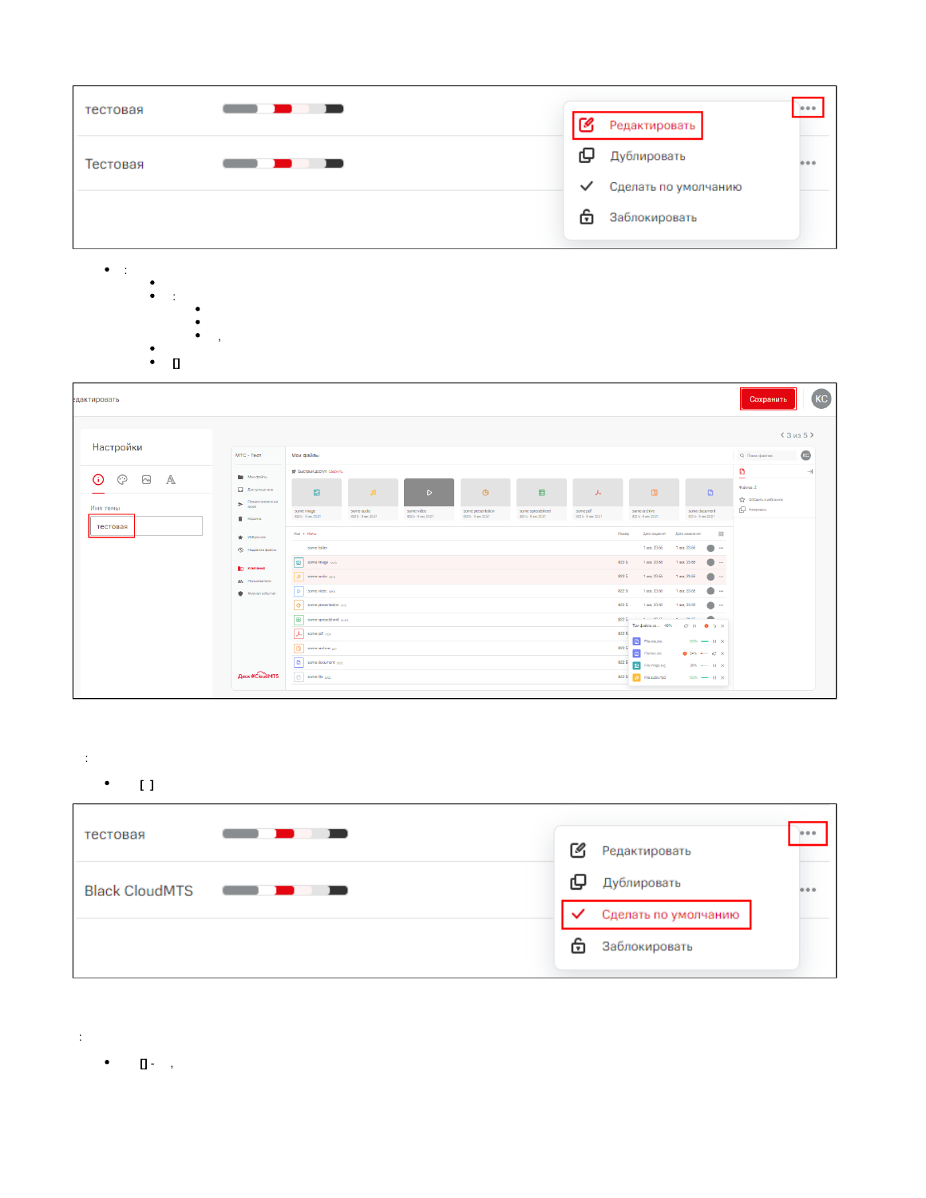

 $\bullet$  $\bullet$ 







- $\ddot{\phantom{a}}$ 
	- $\bullet$  $\mathbf{D}$  -  $\Box$  ,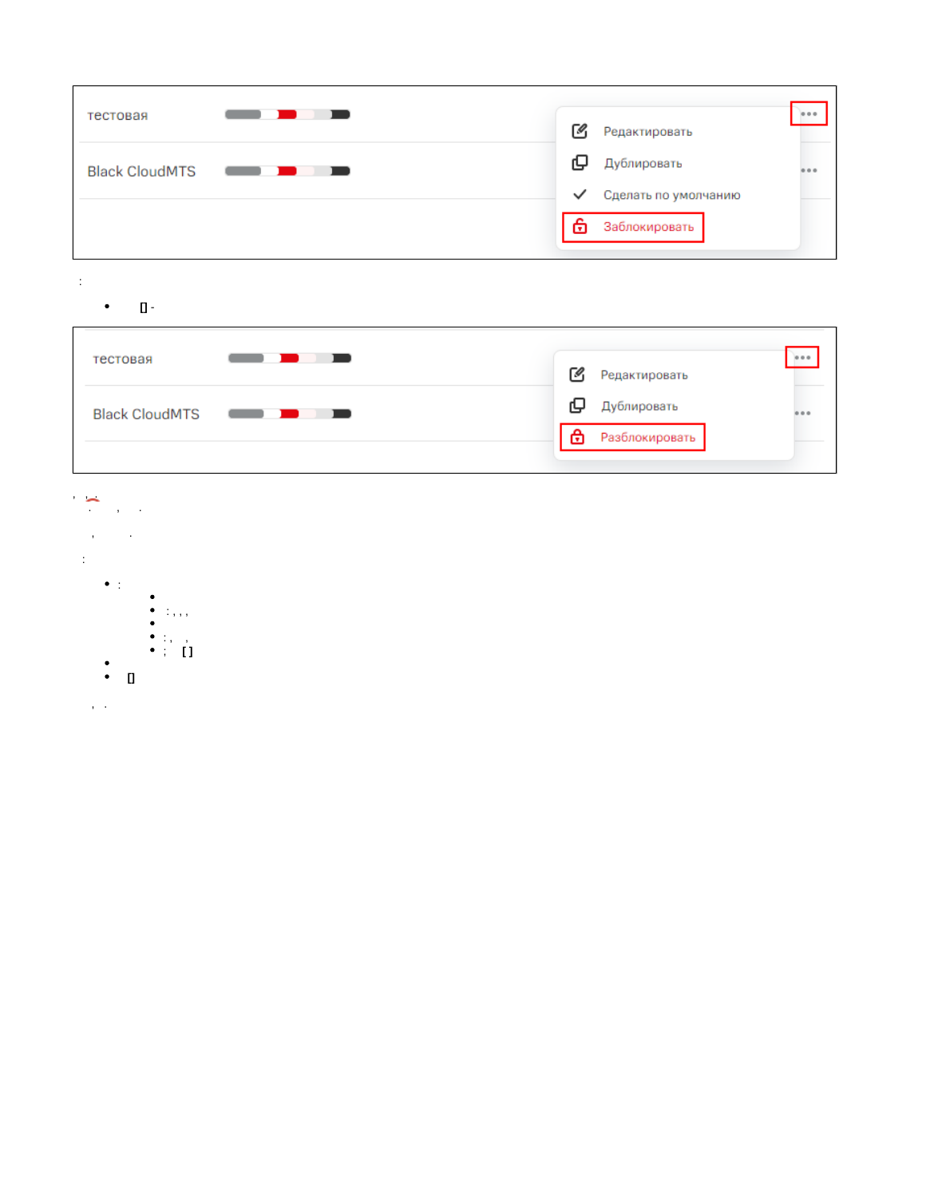| тестовая<br><b>Service Service</b>                                                            | 0.0.0<br>M<br>Редактировать                                 |
|-----------------------------------------------------------------------------------------------|-------------------------------------------------------------|
| <b>Black CloudMTS</b><br>$\blacksquare$<br><b>Contract Contract Contract Contract</b><br>- 11 | Дублировать<br>r<br>                                        |
|                                                                                               | Сделать по умолчанию<br>$\checkmark$<br>Заблокировать<br>n. |

### $\mathcal{L}^{\text{max}}$

 $\bullet$  . <br> II -

| Дублировать<br><b>Black CloudMTS</b><br>0.0.0<br>Разблокировать | тестовая | $\blacksquare$ | 79 | Редактировать | 0.0.0 |
|-----------------------------------------------------------------|----------|----------------|----|---------------|-------|
|                                                                 |          |                |    |               |       |
|                                                                 |          |                |    |               |       |

# $\frac{1}{\sqrt{2}}$  $\frac{1}{2}$  ,  $\frac{1}{2}$  $\mathcal{L}^{\text{max}}$  $\overline{\phantom{a}}$  $\bullet$ r $\circ$  $\ddot{\cdot}$  $\frac{1}{2}$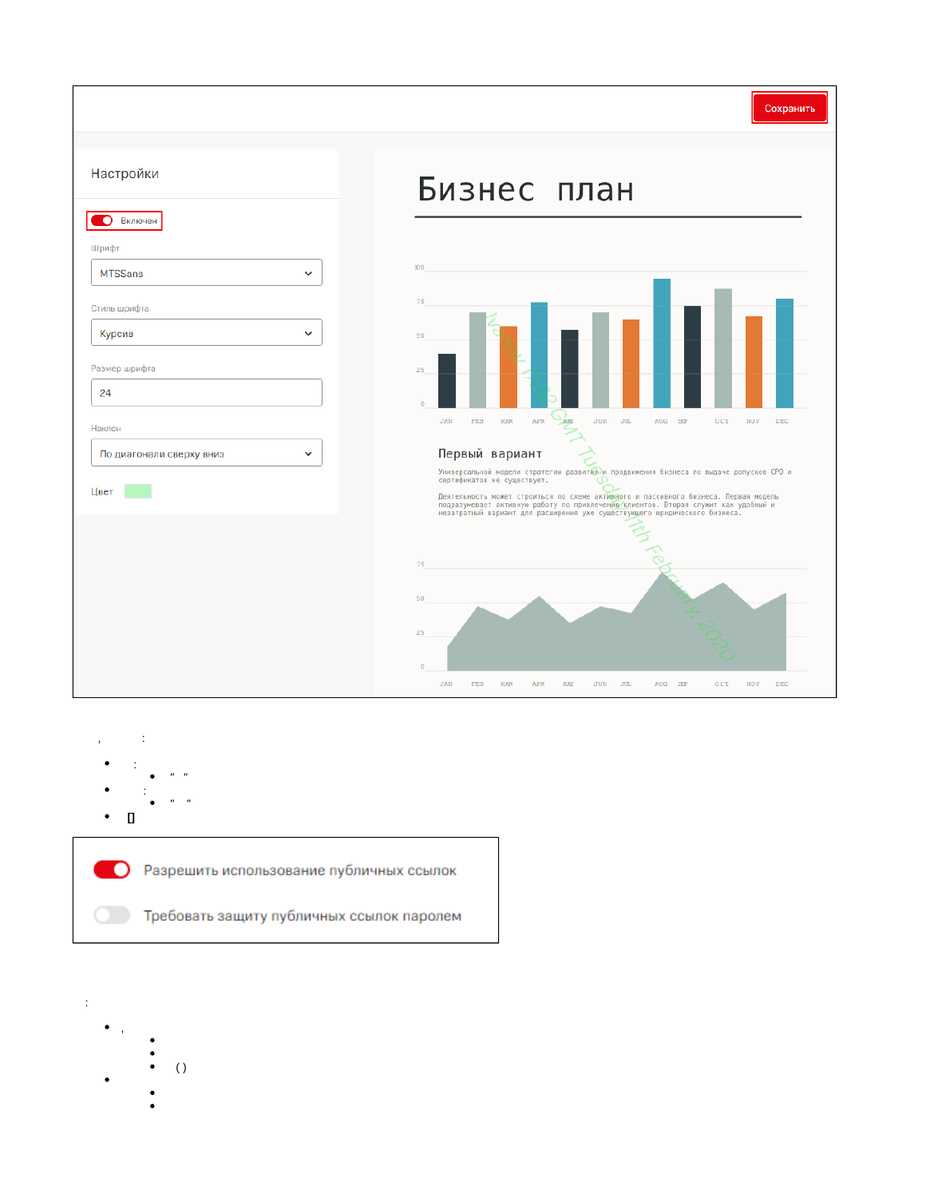#### Сохранить



#### $\ddot{\cdot}$

- 
- 
- 
- $\Box$

 $\bigcirc$  )

Разрешить использование публичных ссылок **O** 

Требовать защиту публичных ссылок паролем

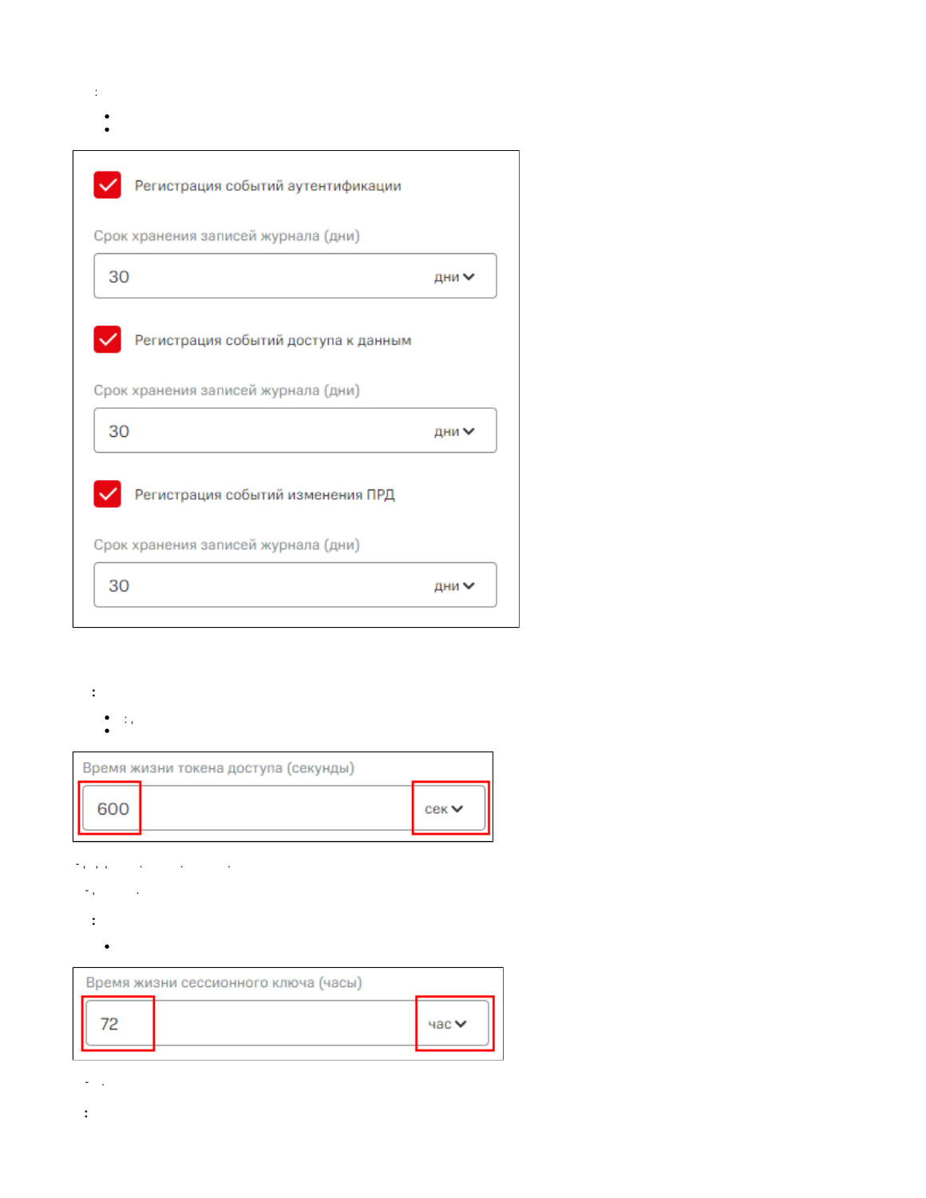| Регистрация событий аутентификации   |       |
|--------------------------------------|-------|
| Срок хранения записей журнала (дни)  |       |
| 30                                   | ДНИ ∨ |
| Регистрация событий доступа к данным |       |
| Срок хранения записей журнала (дни)  |       |
| 30                                   | ДНИ∨  |
| Регистрация событий изменения ПРД    |       |
| Срок хранения записей журнала (дни)  |       |
| 30                                   | дни ∨ |

#### $\mathbf{1}$  and  $\mathbf{1}$

 $\mathbb{R}^3$ 

 $\ddot{\bullet}$ 

 $\bullet$  : : : :



 $\overline{\mathcal{O}}(k^2)$  and  $\overline{\mathcal{O}}(k^2)$  . The contribution of the contribution of  $\mathcal{O}(k^2)$ 

 $\sigma_{\rm 0}$  and  $\sigma_{\rm 0}$ 

 $\mathcal{L}_{\mathcal{A}}$  $\bullet$ 



- $\mathcal{L}^{\pm}(\mathcal{L})$
- $\ddot{\ddot{\varepsilon}}$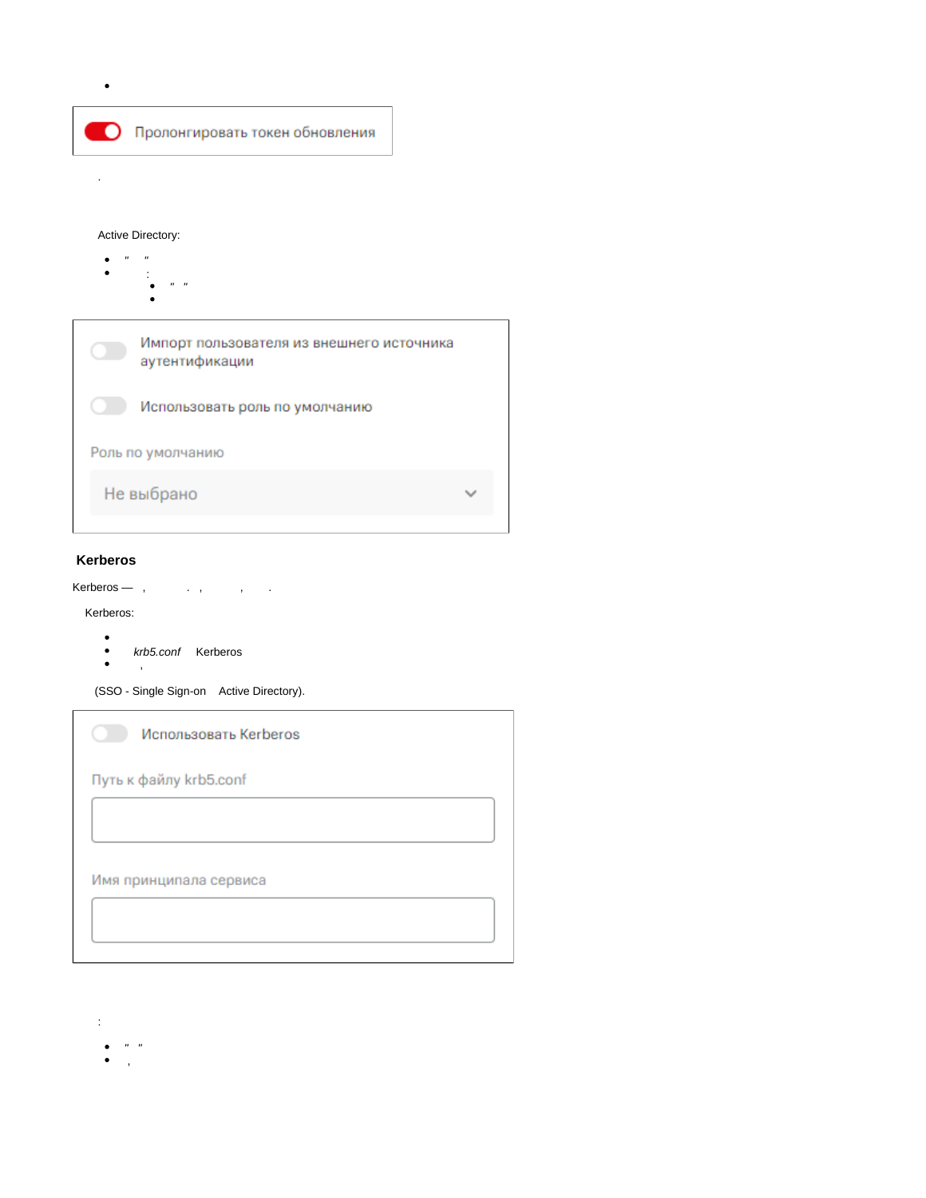| Пролонгировать токен обновления                             |  |
|-------------------------------------------------------------|--|
|                                                             |  |
| Active Directory:                                           |  |
| $\mathbf{u}$<br>$^{\prime}$                                 |  |
| Импорт пользователя из внешнего источника<br>аутентификации |  |
| Использовать роль по умолчанию                              |  |
| Роль по умолчанию                                           |  |
| Не выбрано                                                  |  |
|                                                             |  |

#### Kerberos

 $\bullet$ 

Kerberos — ,  $\langle\cdot,\cdot\rangle_{\mathcal{F}}$  ,  $\langle\cdot,\cdot\rangle_{\mathcal{F}}$  ,  $\langle\cdot,\cdot\rangle_{\mathcal{F}}$ 

Kerberos:

- $\bullet$  $\ddot{\bullet}$ krb5.conf Kerberos
- $\overline{\phantom{a}}$

(SSO - Single Sign-on Active Directory).

| Путь к файлу krb5.conf |  |
|------------------------|--|
|                        |  |
|                        |  |
| Имя принципала сервиса |  |
|                        |  |

- $\ddot{\phantom{a}}$  $\begin{array}{cc}\n\bullet & \theta & \theta \\
\bullet & \circ \\
\bullet & \circ\n\end{array}$
-